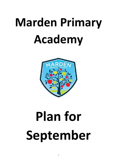# **Marden Primary Academy**



# **Plan for September**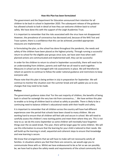#### **How this Plan has been formulated**

The government and the Department for Education announced their intention for all children to be back in school in September 2020. The subsequent release of the guidance has allowed schools to look in detail at how they can welcome children back to school safely. We have done this with the support of the Leigh Academies Trust.

It is important to remember that the risks associated with the virus have not disappeared. However, the prevalence of coronavirus has decreased and, because of the NHS Test and Trace system, there is a confidence that this can be achieved, provided appropriate measures are implemented.

In formulating the plan, as the school has done throughout the pandemic, the needs and safety of the children have been placed as the highest priority. Through running a successful return to school for the eligible year groups since June, we have seen how when wellplanned actions are communicated and implemented well, they can be successful.

In order for the children to return to school in September successfully, there will need to be an understanding from children, parents and staff that we all need to work together. Measures in school can be managed with risk assessments in place. We will therefore be reliant on parents to continue to follow the wider national guidance and restrictions to keep everyone safe.

Please note that this plan is being written in July in preparation for September. We will continue to monitor the situation over the summer break and will update you as to any changes that may need to be made.

#### **Preface**

The government guidance states that 'For the vast majority of children, the benefits of being back in school far outweigh the very low risk from coronavirus…'. We have written this plan to enable us to bring all children back to school as safely as possible. There is likely to be a continuing need to balance children's educational needs with their health and safety.

It is important to remember that all children across the country will have had different experiences over the period that schools have been closed to many children. We are working hard to ensure that all children will feel safe and secure in school. We will need to carefully assess the children's new starting points and meet them where they are. This is not new to us: we do this every September as some children will inevitably have forgotten things over the six week break. This year, there will be larger gaps for some children. We will use this information to ensure that the learning for your child is tailored to their needs. We will build up the learning in small, sequential and coherent steps to ensure that knowledge and new learning is secure.

We know that arrangements that we will have to make will not necessarily satisfy all families. In situations where you feel that there are concerns, we would urge you to communicate these with us. Whilst we have endeavoured to be as fair as we can possibly be, we have had to place the safety needs and requirements of the school community first.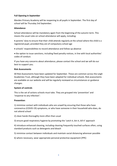### **Full Opening in September**

Marden Primary Academy will be reopening to all pupils in September. The first day of school will be Thursday 3rd September.

#### **Attendance**

School attendance will be mandatory again from the beginning of the autumn term. This means the usual rules on school attendance will apply, including:

 parents' duty to ensure that their child attends regularly at the school where the child is a registered pupil, provided they are of compulsory school age

schools' responsibilities to record attendance and follow up absence

 the option to issue sanctions, including fixed penalty notices, in line with local authorities' codes of conduct.

If you have any concerns about attendance, please contact the school and we will do our best to support you.

#### **Risk Assessments**

All Risk Assessments have been updated for September. These are common across the Leigh Academies Trust, although they have been adapted for individual schools. Risk assessments are available on our website and will be regularly reviewed as circumstances or guidance changes.

#### **System of controls**

This is the set of actions schools must take. They are grouped into 'prevention' and 'response to any infection':

#### **Prevention**:

1) minimise contact with individuals who are unwell by ensuring that those who have coronavirus (COVID-19) symptoms, or who have someone in their household who does, do not attend school

2) clean hands thoroughly more often than usual

3) ensure good respiratory hygiene by promoting the 'catch it, bin it, kill it' approach

4) introduce enhanced cleaning, including cleaning frequently touched surfaces often, using standard products such as detergents and bleach

5) minimise contact between individuals and maintain social distancing wherever possible

6) where necessary, wear appropriate personal protective equipment (PPE)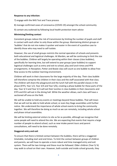### **Response to any infection:**

- 7) engage with the NHS Test and Trace process
- 8) manage confirmed cases of coronavirus (COVID-19) amongst the school community
- 9) contain any outbreak by following local health protection team advice

# **Minimising/limiting contact**

Consistent groups reduce the risk of transmission by limiting the number of pupils and staff in contact with each other to only those within the group. Maintaining distinct groups or 'bubbles' that do not mix makes it quicker and easier in the event of a positive case to identify those who may need to self-isolate.

However, the use of small groups restricts the normal operation of schools and presents both educational and logistical challenges. At Marden, we will be continuing to limit the size of the bubbles. Children will largely be operating within their classes (class bubbles), specifically for learning time, but will extend to year groups (year bubbles) to support logistical challenges such as entry and exit to school, play and lunch times and PPA arrangements. In Reception, Potter and Bowie class will count as one bubble to allow freeflow access to the outdoor learning environment.

Children will work in their classrooms for the large majority of the day. Their class bubble will therefore comprise the children in their class and the staff associated with that class. The children will share the playground and the lunch hall with the parallel classes in the phase (EYFS, Year 1/2, Year 3/4 and Year 5/6), creating a phase bubble for these parts of the day. Year 3/ 4 and Year 5/ 6 will eat their lunches in class bubbles in their classrooms and EYFS and KS1 will eat in the dining hall. While the weather allows, each class will have a sectioned off area on the field.

We will be unable to hold any events or meetings beyond these bubbles. That will mean that we will not be able to hold whole school, or even Key Stage assemblies until further notice. We understand the importance of whole school events to bring the community together. We will therefore be doing as much as we can remotely, including whole school and phase virtual assemblies.

We will be limiting external visitors to site as far as possible, although we recognise that some people will need to attend the site. We are expecting that events that require a large number of people to attend school, such as new intake parent tours and parent consultations, will need to be done remotely.

# **Staggered entry and exit**

To ensure that there is limited contact between the bubbles, there will be a staggered timetable, including start and end times. To limit the contact between groups of children and parents, we will have to operate a more robust and time managed entry and exit system. There will be two timings and these must be followed. Older children (Year 5/ 6) may walk to school on their own. However, both outside and inside school grounds, they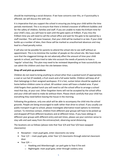should be maintaining a social distance. If we have concerns over this, or if punctuality is affected, we will discuss this with you.

It is imperative that you support the school in ensuring you bring your child within the time periods mentioned. This is to ensure that there is limited crossover of different bubbles and for the safety of children, families and staff. If you are unable to make the 8:45am time for your child's class, you will have to wait until the gate opens at 9:00am. If you miss the 9:00am time you will need to call the school office and wait for the gate to be opened by a staff member. This will mean however, that your child will be marked in as late. If your child builds up a number of lates, then these will be marked as unauthorised absences and may lead to a fixed penalty notice.

It will also not be possible for parents to attend the school site to see staff without an appointment. This is to minimise the number of people on the school site. We have made sure that the staggered timings do not adversely affect the amount of time your child spends in school, and have tried to take into account the needs of parents to have a 'regular' school day. This plan may need to be reviewed depending on how successfully we can admit the children and clear the site between times.

# **Drop off and pick up procedures**

Children do not need to bring anything to school other than a packed lunch (if appropriate), a coat or sun hat (if needed), a fruit snack and a full water bottle. Children will keep all of their belongings in their assigned workspace. If it is hot, suntan lotion should be applied at home before children come to school. All outdoor zones will have a shaded area. If your child forgets their packed lunch you will need to call the school office to arrange a school meal that day, at your cost. Other forgotten items will not be accepted by the school office and your child will need to make do without them. Please check carefully that your child has everything they need before leaving the house in the morning.

Following the guidance, only one adult will be able to accompany the child into the school grounds. People are being encouraged to walk rather than drive to school. If you usually use public transport to get to school, please investigate alternative travel options to minimise contact. To minimise contact, children from different year groups will have to be picked up and dropped off from different locations and at different times. If you have siblings in different year groups with different entry and exit times, please use your common sense to stay safe and wait away from the entrance/exit, observing social distancing.

The locations are as follows (please note that Year 3/4 and Year 5/6 have swapped classrooms):

- Reception main pupil gate, enter classrooms via ramp
- Year 1/2 main pupil gate, enter Year 1/2 classrooms through external classroom door
- Year  $3/4$ 
	- o Hawking and Attenborough: car park gate to Year 6 fire exit
	- o Nightingale: main pupil gate, enter through cookery area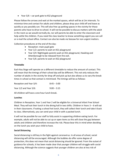Year 5/6 – car park gate to KS2 playground

Please follow the arrows and wait at the marked spaces, which will be at 2m intervals. To minimise time and contact for adults and children, please drop your child off and leave as quickly as you possibly can. This will also free up parking spaces in the vicinity for those parents who have to drive to school. It will not be possible to discuss matters with the adult in the room as we would normally do, nor will parents be able to enter the classroom and help settle the children. If you need the class teacher to know something urgent you can call or e-mail the school office. Contact can also be made via Seesaw for non-urgent matters.

Collection procedures at the end of the day:

- Reception: main pupil gate
- Year 1/2: parents to wait on KS1 playground
- Year 3/4: Nightingale parents wait on KS1 playground, Hawking and Attenborough to be released from fire exit.
- Year 5/6: parents to wait on KS2 playground

#### **Timetable**

Each Key Stage will operate on a different timetable to reduce the amount of contact. This will mean that the timings of their school day will be different. This not only reduces the number of adults in the vicinity for drop off and pick up but also allows us to vary the break times in school so that contact is minimised. The timings will be as follows:

| Reception and Year 3/4:     | $8:45 - 3:00$ |
|-----------------------------|---------------|
| Year $1/2$ and Year $5/6$ : | $9:00 - 3:15$ |

All children will have a one hour lunch break.

#### **Lunches**

Children in Reception, Year 1 and Year 2 will be eligible for a Universal Infant Free School Meal. They will eat their lunch in the dining hall in two shifts. Children in Years 3 – 6 will eat in their classrooms. If eating a school hot lunch, they will collect their lunch and take it back to class. Alternatively, you can send your child in with a packed lunch.

It will not be possible for our staff to fully assist in supporting children eating lunch. For example, adults will not be able to cut up or open items as this will close the gap between adults and children and therefore increase the risk. Please bear this in mind when deciding on the lunch you wish your child to have.

#### **Social Distancing**

Social distancing is still key in the fight against coronavirus. In all areas of school, social distancing will still be encouraged. Although the bubbles do offer some degree of protection, this does not mean that social distancing should be ignored. From the outset of guidance for schools, it has been made clear that younger children will struggle with social distancing. Although the science suggests that younger children are also at less risk of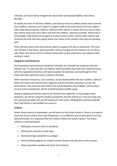infection, we have tried to mitigate this risk further by keeping bubbles small where possible.

As adults are more at risk than children, and because the virus affects adults more severely than children, measures are in place to support staff as they will need to be more vigilant with social distancing than children. Staff and other adults in school will try to stay at least two metres away from each other and from the children, wherever possible. Where this is not possible, staff will be encouraged to avoid any face-to-face contact with children and minimise the time that they spend within one metre of the children that they are working with.

There will also have to be some actions taken to support this aim in classrooms. The main one of these is that desks, where possible, will be arranged so that children can sit side to side rather than face to face to reduce transmission (many classrooms may organise their seating in rows).

# **Equipment and Resources**

Any frequently used resources should be individual, for example the stationery that the children use. To overcome this, all children will be provided with their own stationery pack, with the equipment that they will need included. No stationery can be brought in from home and their pack must stay in school at all times.

Other classroom resources, such as books, can be shared within the class bubbles. Some of these will need to be cleaned more regularly and this has been factored in to our risk assessments. Any resources that need to be shared between class bubbles, such as sport, art and science equipment, will be cleaned between bubble usage.

Outdoor equipment will also need to be cleaned more regularly. To encourage active playtimes, we will be using the outdoor equipment, but this will be on a rota ensuring only one year group bubble will use the equipment each week, allowing the recommended 48 hour time before a new bubble can access it.

#### **Uniform**

When school returns in September, we will return in full school uniform. There is no need to clean the school uniform any more frequently, or in a different way to that which you have done previously. It is important that the children follow the uniform policy. The school uniform is indicated below:

- Black/grey trousers, skirts or pinafores.
- White shirts, blouses or polo tops
- Red school logo sweatshirt or cardigan
- Red and white gingham or striped summer dresses may be worn in the summer.
- Shoes should be sensible and smart (not trainers).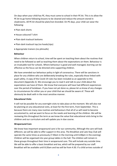On days when your child has PE, they must come to school in their PE kit. This is to allow the PE kit to go home following lessons to be cleaned and reduce the amount stored in cloakrooms. All PE kit should be plain/non-branded. On PE days, your child can wear the following:

- Plain dark shorts
- House coloured T-shirt
- Plain dark tracksuit bottoms
- Plain dark tracksuit top (no hoods/zips)
- Appropriate trainers (no plimsolls)

#### **Behaviour**

When children return to school, time will be spent on teaching them about the routines that need to be followed as well as teaching them about the expectations on them. Behaviour is an invaluable tool for schools. Where behaviour is good and well-managed, learning can be effective as the focus can be directed onto supporting children.

We have amended our behaviour policy in light of coronavirus. There will be sanctions in place for any children who are deliberately breaking the rules, especially those linked with pupil safety. A copy of the Covid-19 rules has been included as an appendix to this document (Appendix 2). We encourage you to read it and talk to your child about the expectations we have of them. We know that everyone will have had different experiences over the period of lockdown. If you have not yet done so, please let us know of any changes to circumstances for either you or your child that we should be aware of. These will obviously be dealt with in the most sensitive manner.

#### **Educational Visits**

It will not be possible for any overnight visits to take place at the moment. We will also not be planning on any educational visits, at least for the first term, from September. This is because there are many new routines and behaviours that all of us will need to become accustomed to, and we want to focus on the needs and learning of the children. We will be reviewing this throughout the term as we know the value that educational visits bring to the children and our curriculum and will update you in due course.

#### **Wraparound Care**

We know how important wraparound care is for our community. Although the care will look different, we will be able to offer support in this area. The Breakfast and Late Stay Club will operate the same times as previously (7:40am in the morning until 6:00pm in the evening). Children will be organised into year group tables in the hall. The children will remain in these groups throughout their time in wraparound care. This will include any outside time. We will be able to offer a basic breakfast and tea, which will be prepared by our staff. Breakfast will be available until 8:20am and tea will be from 4:30. If a child arrives outside of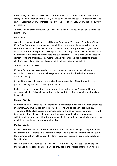these times, it will not be possible to guarantee they will be served food because of the arrangements needed to do this safely. Because we will need to pay staff until 9:00am, the cost for Breakfast Club will increase to £3.50. The cost of Late Stay Club will still be £10.00 per session.

There will be no extra-curricular clubs until December, we will review this decision for the spring term.

# **Curriculum**

We will be resuming teaching the full National Curriculum (Early Years Foundation Stage for EYFS) from September. It is important that children receive the highest possible quality education. We will not be expecting the children to be at the appropriate programme of study as it has not been possible to complete this year's programme. Instead, we will focus on meeting the children where they are and build from there. The curriculum will need to remain broad and ambitious. This means that we will be teaching all subjects to ensure children acquire knowledge in all areas. There will be a focus on core skills.

# These will look as follows:

EYFS - A focus on language, reading, maths, phonics and extending the children's vocabulary. There will continue to be regular opportunities for the children to access outdoor learning.

KS1 and KS2 - We will need to re-establish the core essentials of learning, which are phonics, reading, vocabulary, writing and maths.

Children will be encouraged to read widely in all curriculum areas. A focus will be on developing children's knowledge and vocabulary whilst keeping the curriculum broad and balanced.

#### **Physical Activity**

Physical activity will continue to be incredibly important for pupils and it is firmly embedded at Marden. Any physical activity, including PE lessons, will be done in class bubbles. Activities will take place outdoors wherever possible and so correct and appropriate kit will be essential. It may be possible to work with external providers for extra-curricular activities. We are not currently offering anything in this regard, but as and when we are able to, clubs will be limited to year group bubbles.

#### **Medical Needs**

If children require inhalers or Piriton and/or Epi-Pens for severe allergies, the parent must ensure that in-date medicine is available in school and this will be kept in the child's bubble. No other medication will be given; if children require antibiotics or Calpol they should be kept at home.

First aid: children will tend to this themselves if it is minor (e.g. wet paper towel applied themselves if able to) and basic PPE will be provided in the first aid bags for staff who are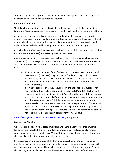administering first aid to protect both them and your child (aprons, gloves, masks). We do have face shields should resuscitation be required.

### **Response to Infection**

The following information is taken directly from the guidance from the Department for Education. Parents/carers need to understand that they will need to be ready and willing to:

 book a test if they are displaying symptoms. Staff and pupils must not come into the school if they have symptoms and must be sent home to self-isolate if they develop them in school. All children can be tested, including children under 5, but children aged 11 and under will need to be helped by their parents/carers if using a home testing kit

 provide details of anyone they have been in close contact with if they were to test positive for coronavirus (COVID-19) or if asked by NHS Test and Trace

 self-isolate for 14 days if they have been in close contact with someone who develops coronavirus (COVID-19) symptoms and susequently tests positive for coronavirus (COVID-19). Schools should ask parents and staff to inform them immediately of the results of a test:

- $\circ$  if someone tests negative, if they feel well and no longer have symptoms similar to coronavirus (COVID-19), they can stop self-isolating. They could still have another virus, such as a cold or  $flu - in$  which case it is still best to avoid contact with other people until they are better. Other members of their household can stop self-isolating.
- $\circ$  if someone tests positive, they should follow the 'stay at home: guidance for households with possible or confirmed coronavirus (COVID-19) infection' and must continue to self-isolate for at least 7 days from the onset of their symptoms and then return to school only if they do not have symptoms other than cough or loss of sense of smell/taste. This is because a cough or anosmia can last for several weeks once the infection has gone. The 7-day period starts from the day when they first became ill. If they still have a high temperature, they should keep self-isolating until their temperature returns to normal. Other members of their household should continue self-isolating for the full 14 days.

#### <https://www.gov.uk/guidance/coronavirus-covid-19-getting-tested>

#### **Contingency Planning**

Whilst we are all hopeful that cases are limited and there is not the need for a further lockdown, it is important that for individuals or groups of self-isolating pupils, remote education plans should be in place. At Marden Primary, we want to make sure that we are able to deliver education remotely should the need arise.

In cases where children or groups of children are not in school due to self-isolation, a remote curriculum will be provided for them. To enable us to support you in this, we will need to know whether you are likely to have problems accessing online content. There will also be a higher level of expectation and accountability on the children if they are not in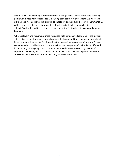school. We will be planning a programme that is of equivalent length to the core teaching pupils would receive in school, ideally including daily contact with teachers. We will teach a planned and well-sequenced curriculum so that knowledge and skills are built incrementally, with a good level of clarity about what is intended to be taught and practised in each subject. Work will need to be completed and submitted for teachers to assess and provide feedback.

Where relevant and required, printed resources will be made available. One of the biggest shifts between the time away from school since lockdown and the reopening of schools fully in September is the need for full time education to continue regardless of location. Schools are expected to consider how to continue to improve the quality of their existing offer and have a strong contingency plan in place for remote education provision by the end of September. However, for this to be successful, it will require partnership between home and school. Please contact us if you have any concerns in this area.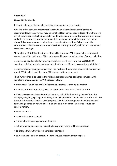### **Appendix 1**

### **Use of PPE in schools**

It is easiest to share the specific government guidance here for clarity:

Wearing a face covering or facemask in schools or other education settings is not recommended. Face coverings may be beneficial for short periods indoors where there is a risk of close social contact with people you do not usually meet and where social distancing and other measures cannot be maintained, for example on public transport or in some shops. This does not apply to schools or other education settings. Schools and other education or childcare settings should therefore not require staff, children and learners to wear face coverings.

The majority of staff in education settings will not require PPE beyond what they would normally need for their work. PPE is only needed in a very small number of cases, including:

 where an individual child or young person becomes ill with coronavirus (COVID-19) symptoms while at schools, and only then if a distance of 2 metres cannot be maintained

 where a child or young person already has routine intimate care needs that involves the use of PPE, in which case the same PPE should continue to be used

The PPE that should be used in the following situations when caring for someone with symptoms of coronavirus (COVID-19) is as follows:

- a face mask should be worn if a distance of 2 metres cannot be maintained
- if contact is necessary, then gloves, an apron and a face mask should be worn

 if a risk assessment determines that there is a risk of fluids entering the eye from, for example, coughing, spitting or vomiting, then eye protection should also be worn When PPE is used, it is essential that it is used properly. This includes scrupulous hand hygiene and following guidance on how to put PPE on and take it off safely in order to reduce selfcontamination.

Face masks must:

- cover both nose and mouth
- not be allowed to dangle around the neck
- not be touched once put on, except when carefully removed before disposal
- be changed when they become moist or damaged
- be worn once and then discarded hands must be cleaned after disposal